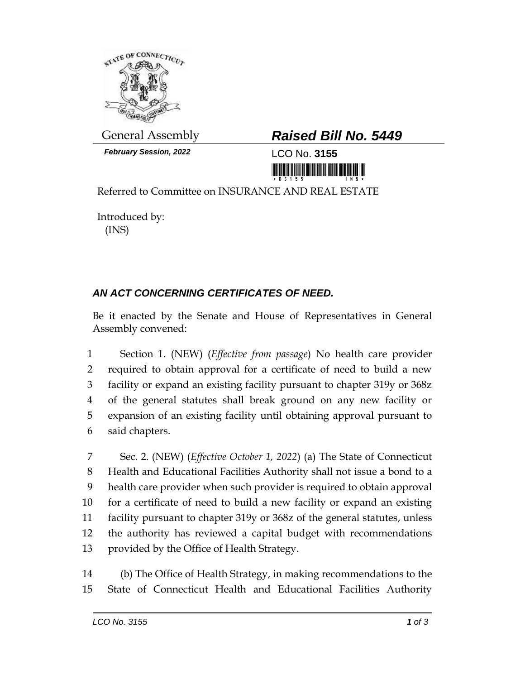

*February Session, 2022* LCO No. **3155**

## General Assembly *Raised Bill No. 5449*

<u> 1999 - Andrew Maria Maria Maria Maria Maria Maria Maria Maria Maria Maria Maria Maria Maria Maria Maria Mari</u>

Referred to Committee on INSURANCE AND REAL ESTATE

Introduced by: (INS)

## *AN ACT CONCERNING CERTIFICATES OF NEED.*

Be it enacted by the Senate and House of Representatives in General Assembly convened:

 Section 1. (NEW) (*Effective from passage*) No health care provider required to obtain approval for a certificate of need to build a new facility or expand an existing facility pursuant to chapter 319y or 368z of the general statutes shall break ground on any new facility or expansion of an existing facility until obtaining approval pursuant to said chapters.

 Sec. 2. (NEW) (*Effective October 1, 2022*) (a) The State of Connecticut Health and Educational Facilities Authority shall not issue a bond to a health care provider when such provider is required to obtain approval for a certificate of need to build a new facility or expand an existing facility pursuant to chapter 319y or 368z of the general statutes, unless the authority has reviewed a capital budget with recommendations provided by the Office of Health Strategy.

14 (b) The Office of Health Strategy, in making recommendations to the 15 State of Connecticut Health and Educational Facilities Authority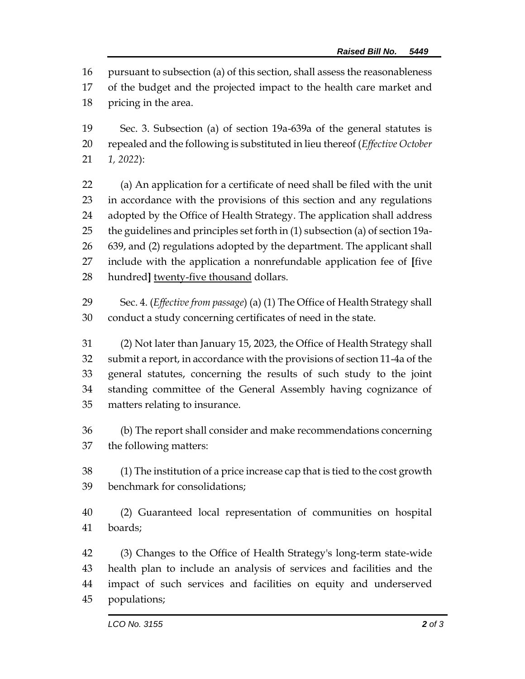pursuant to subsection (a) of this section, shall assess the reasonableness

- of the budget and the projected impact to the health care market and pricing in the area.
- Sec. 3. Subsection (a) of section 19a-639a of the general statutes is repealed and the following is substituted in lieu thereof (*Effective October 1, 2022*):
- (a) An application for a certificate of need shall be filed with the unit in accordance with the provisions of this section and any regulations adopted by the Office of Health Strategy. The application shall address the guidelines and principles set forth in (1) subsection (a) of section 19a- 639, and (2) regulations adopted by the department. The applicant shall include with the application a nonrefundable application fee of **[**five hundred**]** twenty-five thousand dollars.
- Sec. 4. (*Effective from passage*) (a) (1) The Office of Health Strategy shall conduct a study concerning certificates of need in the state.
- (2) Not later than January 15, 2023, the Office of Health Strategy shall submit a report, in accordance with the provisions of section 11-4a of the general statutes, concerning the results of such study to the joint standing committee of the General Assembly having cognizance of matters relating to insurance.
- (b) The report shall consider and make recommendations concerning the following matters:
- (1) The institution of a price increase cap that is tied to the cost growth benchmark for consolidations;
- (2) Guaranteed local representation of communities on hospital boards;
- (3) Changes to the Office of Health Strategy's long-term state-wide health plan to include an analysis of services and facilities and the impact of such services and facilities on equity and underserved populations;